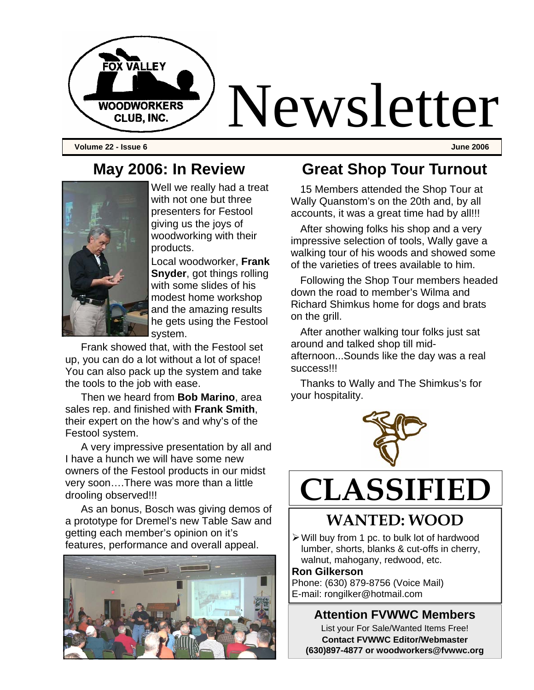

**Volume 22 - Issue 6 June 2006** 

## **May 2006: In Review**



Well we really had a treat with not one but three presenters for Festool giving us the joys of woodworking with their products.

Local woodworker, **Frank Snyder**, got things rolling with some slides of his modest home workshop and the amazing results he gets using the Festool system.

Frank showed that, with the Festool set up, you can do a lot without a lot of space! You can also pack up the system and take the tools to the job with ease.

Then we heard from **Bob Marino**, area sales rep. and finished with **Frank Smith**, their expert on the how's and why's of the Festool system.

A very impressive presentation by all and I have a hunch we will have some new owners of the Festool products in our midst very soon….There was more than a little drooling observed!!!

As an bonus, Bosch was giving demos of a prototype for Dremel's new Table Saw and getting each member's opinion on it's features, performance and overall appeal.



## **Great Shop Tour Turnout**

15 Members attended the Shop Tour at Wally Quanstom's on the 20th and, by all accounts, it was a great time had by all!!!

After showing folks his shop and a very impressive selection of tools, Wally gave a walking tour of his woods and showed some of the varieties of trees available to him.

Following the Shop Tour members headed down the road to member's Wilma and Richard Shimkus home for dogs and brats on the grill.

After another walking tour folks just sat around and talked shop till midafternoon...Sounds like the day was a real success!!!

Thanks to Wally and The Shimkus's for your hospitality.



# **CLASSIFIED**

## **WANTED: WOOD**

 $\triangleright$  Will buy from 1 pc. to bulk lot of hardwood lumber, shorts, blanks & cut-offs in cherry, walnut, mahogany, redwood, etc.

#### **Ron Gilkerson**

Phone: (630) 879-8756 (Voice Mail) E-mail: rongilker@hotmail.com

#### **Attention FVWWC Members**

List your For Sale/Wanted Items Free! **Contact FVWWC Editor/Webmaster (630)897-4877 or woodworkers@fvwwc.org**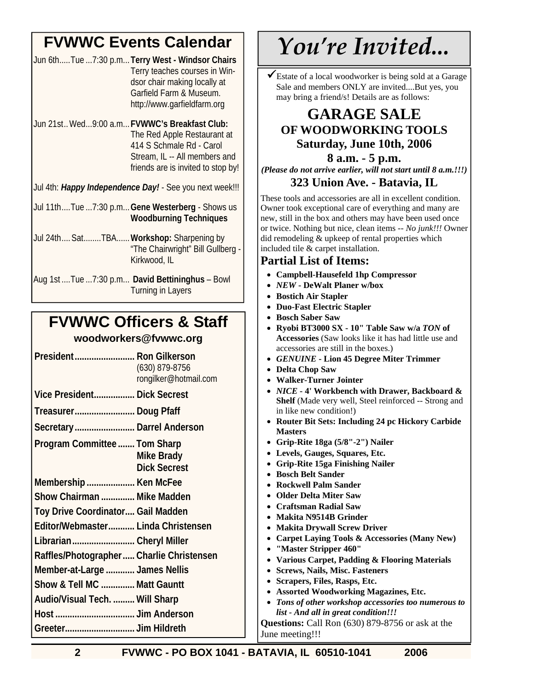## **FVWWC Events Calendar**

| Jun 6thTue 7:30 p.m Terry West - Windsor Chairs |
|-------------------------------------------------|
| Terry teaches courses in Win-                   |
| dsor chair making locally at                    |
| Garfield Farm & Museum.                         |
| http://www.garfieldfarm.org                     |

Jun 21st.. Wed...9:00 a.m...**FVWWC's Breakfast Club:**  The Red Apple Restaurant at 414 S Schmale Rd - Carol Stream, IL -- All members and friends are is invited to stop by!

Jul 4th: *Happy Independence Day!* - See you next week!!!

- Jul 11th....Tue ...7:30 p.m...**Gene Westerberg**  Shows us **Woodburning Techniques**
- Jul 24th.... Sat........TBA......**Workshop:** Sharpening by "The Chairwright" Bill Gullberg - Kirkwood, IL
- Aug 1st ....Tue ...7:30 p.m... **David Bettininghus**  Bowl Turning in Layers

## **FVWWC Officers & Staff**

#### **woodworkers@fvwwc.org**

| President Ron Gilkerson<br>(630) 879-8756<br>rongilker@hotmail.com       |  |
|--------------------------------------------------------------------------|--|
| Vice President Dick Secrest                                              |  |
| Treasurer Doug Pfaff                                                     |  |
| Secretary Darrel Anderson                                                |  |
| Program Committee  Tom Sharp<br><b>Mike Brady</b><br><b>Dick Secrest</b> |  |
| Membership  Ken McFee                                                    |  |
| Show Chairman  Mike Madden                                               |  |
| Toy Drive Coordinator Gail Madden                                        |  |
| Editor/Webmaster Linda Christensen                                       |  |
| Librarian Cheryl Miller                                                  |  |
| Raffles/Photographer  Charlie Christensen                                |  |
| Member-at-Large  James Nellis                                            |  |
| Show & Tell MC  Matt Gauntt                                              |  |
| Audio/Visual Tech.  Will Sharp                                           |  |
|                                                                          |  |
|                                                                          |  |

## *You're Invited...*

 $\checkmark$ Estate of a local woodworker is being sold at a Garage Sale and members ONLY are invited....But yes, you may bring a friend/s! Details are as follows:

### **GARAGE SALE OF WOODWORKING TOOLS Saturday, June 10th, 2006**

#### **8 a.m. - 5 p.m.**

*(Please do not arrive earlier, will not start until 8 a.m.!!!)* **323 Union Ave. - Batavia, IL** 

These tools and accessories are all in excellent condition. Owner took exceptional care of everything and many are new, still in the box and others may have been used once or twice. Nothing but nice, clean items -- *No junk!!!* Owner did remodeling & upkeep of rental properties which included tile & carpet installation.

#### **Partial List of Items:**

- **Campbell-Hausefeld 1hp Compressor**
- *NEW* **DeWalt Planer w/box**
- **Bostich Air Stapler**
- **Duo-Fast Electric Stapler**
- **Bosch Saber Saw**
- **Ryobi BT3000 SX 10" Table Saw w/a** *TON* **of Accessories** (Saw looks like it has had little use and accessories are still in the boxes.)
- *GENUINE* **Lion 45 Degree Miter Trimmer**
- **Delta Chop Saw**
- **Walker-Turner Jointer**
- *NICE*  **4' Workbench with Drawer, Backboard & Shelf** (Made very well, Steel reinforced -- Strong and in like new condition!)
- **Router Bit Sets: Including 24 pc Hickory Carbide Masters**
- **Grip-Rite 18ga (5/8"-2") Nailer**
- **Levels, Gauges, Squares, Etc.**
- **Grip-Rite 15ga Finishing Nailer**
- **Bosch Belt Sander**
- **Rockwell Palm Sander**
- **Older Delta Miter Saw**
- **Craftsman Radial Saw**
- **Makita N9514B Grinder**
- **Makita Drywall Screw Driver**
- **Carpet Laying Tools & Accessories (Many New)**
- **"Master Stripper 460"**
- **Various Carpet, Padding & Flooring Materials**
- **Screws, Nails, Misc. Fasteners**
- **Scrapers, Files, Rasps, Etc.**
- **Assorted Woodworking Magazines, Etc.**
- *Tons of other workshop accessories too numerous to list - And all in great condition!!!* **Questions:** Call Ron (630) 879-8756 or ask at the

June meeting!!!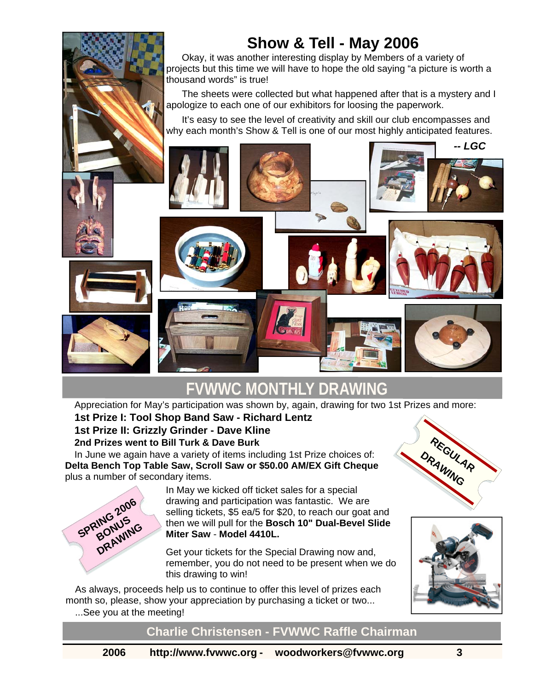

 Okay, it was another interesting display by Members of a variety of projects but this time we will have to hope the old saying "a picture is worth a thousand words" is true!

 The sheets were collected but what happened after that is a mystery and I apologize to each one of our exhibitors for loosing the paperwork.

 It's easy to see the level of creativity and skill our club encompasses and why each month's Show & Tell is one of our most highly anticipated features.



## **FVWWC MONTHLY DRAWING**

Appreciation for May's participation was shown by, again, drawing for two 1st Prizes and more:

#### **1st Prize I: Tool Shop Band Saw - Richard Lentz 1st Prize II: Grizzly Grinder - Dave Kline 2nd Prizes went to Bill Turk & Dave Burk**

In June we again have a variety of items including 1st Prize choices of: **Delta Bench Top Table Saw, Scroll Saw or \$50.00 AM/EX Gift Cheque** plus a number of secondary items.



In May we kicked off ticket sales for a special drawing and participation was fantastic. We are selling tickets, \$5 ea/5 for \$20, to reach our goat and then we will pull for the **Bosch 10" Dual-Bevel Slide Miter Saw** - **Model 4410L.**

Get your tickets for the Special Drawing now and, remember, you do not need to be present when we do this drawing to win!

As always, proceeds help us to continue to offer this level of prizes each month so, please, show your appreciation by purchasing a ticket or two... ...See you at the meeting!





**Charlie Christensen - FVWWC Raffle Chairman**